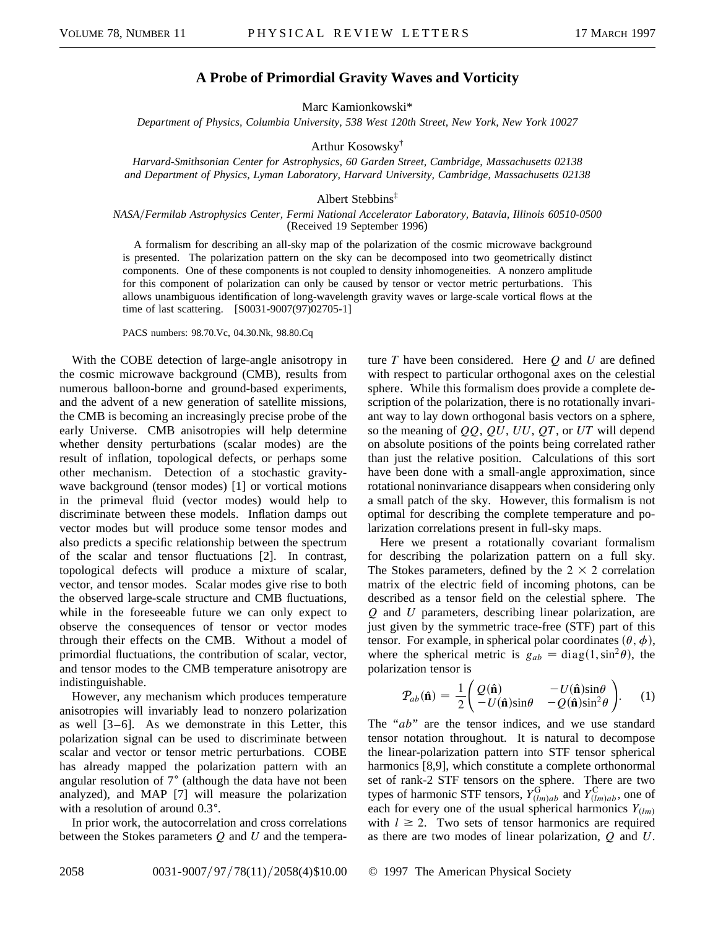## **A Probe of Primordial Gravity Waves and Vorticity**

Marc Kamionkowski\*

*Department of Physics, Columbia University, 538 West 120th Street, New York, New York 10027*

Arthur Kosowsky†

*Harvard-Smithsonian Center for Astrophysics, 60 Garden Street, Cambridge, Massachusetts 02138 and Department of Physics, Lyman Laboratory, Harvard University, Cambridge, Massachusetts 02138*

## Albert Stebbins‡

## *NASA*y*Fermilab Astrophysics Center, Fermi National Accelerator Laboratory, Batavia, Illinois 60510-0500* (Received 19 September 1996)

A formalism for describing an all-sky map of the polarization of the cosmic microwave background is presented. The polarization pattern on the sky can be decomposed into two geometrically distinct components. One of these components is not coupled to density inhomogeneities. A nonzero amplitude for this component of polarization can only be caused by tensor or vector metric perturbations. This allows unambiguous identification of long-wavelength gravity waves or large-scale vortical flows at the time of last scattering. [S0031-9007(97)02705-1]

PACS numbers: 98.70.Vc, 04.30.Nk, 98.80.Cq

With the COBE detection of large-angle anisotropy in the cosmic microwave background (CMB), results from numerous balloon-borne and ground-based experiments, and the advent of a new generation of satellite missions, the CMB is becoming an increasingly precise probe of the early Universe. CMB anisotropies will help determine whether density perturbations (scalar modes) are the result of inflation, topological defects, or perhaps some other mechanism. Detection of a stochastic gravitywave background (tensor modes) [1] or vortical motions in the primeval fluid (vector modes) would help to discriminate between these models. Inflation damps out vector modes but will produce some tensor modes and also predicts a specific relationship between the spectrum of the scalar and tensor fluctuations [2]. In contrast, topological defects will produce a mixture of scalar, vector, and tensor modes. Scalar modes give rise to both the observed large-scale structure and CMB fluctuations, while in the foreseeable future we can only expect to observe the consequences of tensor or vector modes through their effects on the CMB. Without a model of primordial fluctuations, the contribution of scalar, vector, and tensor modes to the CMB temperature anisotropy are indistinguishable.

However, any mechanism which produces temperature anisotropies will invariably lead to nonzero polarization as well [3–6]. As we demonstrate in this Letter, this polarization signal can be used to discriminate between scalar and vector or tensor metric perturbations. COBE has already mapped the polarization pattern with an angular resolution of  $7^{\circ}$  (although the data have not been analyzed), and MAP [7] will measure the polarization with a resolution of around  $0.3^{\circ}$ .

In prior work, the autocorrelation and cross correlations between the Stokes parameters *Q* and *U* and the temperature *T* have been considered. Here *Q* and *U* are defined with respect to particular orthogonal axes on the celestial sphere. While this formalism does provide a complete description of the polarization, there is no rotationally invariant way to lay down orthogonal basis vectors on a sphere, so the meaning of *QQ*, *QU*, *UU*, *QT*, or *UT* will depend on absolute positions of the points being correlated rather than just the relative position. Calculations of this sort have been done with a small-angle approximation, since rotational noninvariance disappears when considering only a small patch of the sky. However, this formalism is not optimal for describing the complete temperature and polarization correlations present in full-sky maps.

Here we present a rotationally covariant formalism for describing the polarization pattern on a full sky. The Stokes parameters, defined by the  $2 \times 2$  correlation matrix of the electric field of incoming photons, can be described as a tensor field on the celestial sphere. The *Q* and *U* parameters, describing linear polarization, are just given by the symmetric trace-free (STF) part of this tensor. For example, in spherical polar coordinates  $(\theta, \phi)$ , where the spherical metric is  $g_{ab} = \text{diag}(1, \sin^2 \theta)$ , the polarization tensor is

$$
\mathcal{P}_{ab}(\hat{\mathbf{n}}) = \frac{1}{2} \begin{pmatrix} Q(\hat{\mathbf{n}}) & -U(\hat{\mathbf{n}})\sin\theta \\ -U(\hat{\mathbf{n}})\sin\theta & -Q(\hat{\mathbf{n}})\sin^2\theta \end{pmatrix} . \tag{1}
$$

The "*ab*" are the tensor indices, and we use standard tensor notation throughout. It is natural to decompose the linear-polarization pattern into STF tensor spherical harmonics [8,9], which constitute a complete orthonormal set of rank-2 STF tensors on the sphere. There are two types of harmonic STF tensors,  $Y_{(lm)ab}^G$  and  $Y_{(lm)ab}^C$ , one of each for every one of the usual spherical harmonics  $Y_{(lm)}$ with  $l \geq 2$ . Two sets of tensor harmonics are required as there are two modes of linear polarization, *Q* and *U*.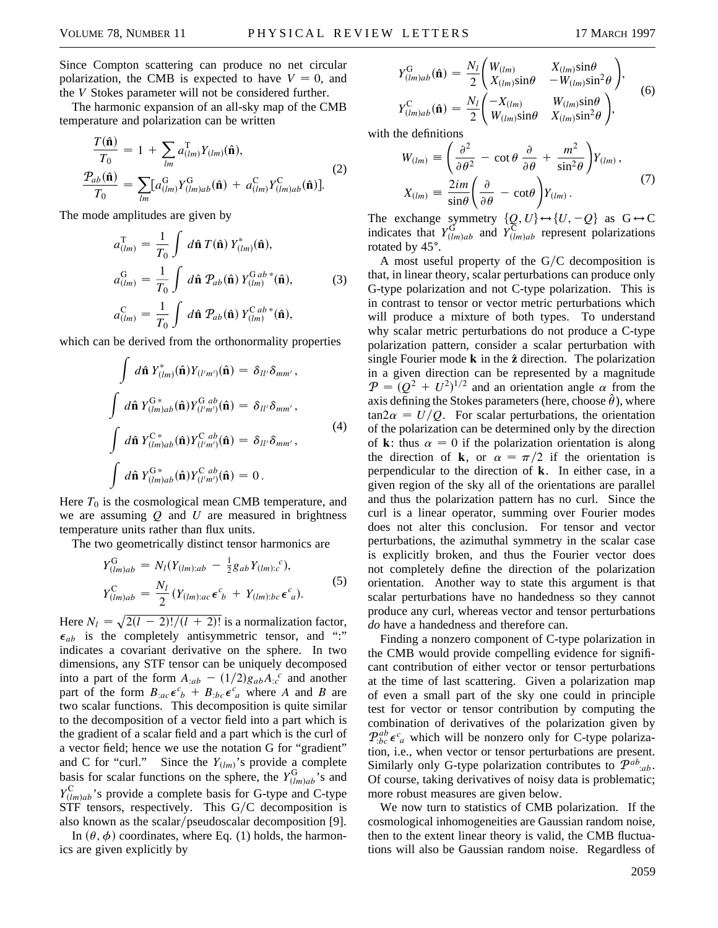Since Compton scattering can produce no net circular polarization, the CMB is expected to have  $V = 0$ , and the *V* Stokes parameter will not be considered further.

The harmonic expansion of an all-sky map of the CMB temperature and polarization can be written

$$
\frac{T(\hat{\mathbf{n}})}{T_0} = 1 + \sum_{lm} a_{(lm)}^{\mathrm{T}} Y_{(lm)}(\hat{\mathbf{n}}),
$$
\n
$$
\frac{P_{ab}(\hat{\mathbf{n}})}{T_0} = \sum_{lm} [a_{(lm)}^{\mathrm{G}} Y_{(lm)ab}^{\mathrm{G}}(\hat{\mathbf{n}}) + a_{(lm)}^{\mathrm{C}} Y_{(lm)ab}^{\mathrm{C}}(\hat{\mathbf{n}})].
$$
\n(2)

The mode amplitudes are given by

$$
a_{(lm)}^{\mathrm{T}} = \frac{1}{T_0} \int d\hat{\mathbf{n}} \, T(\hat{\mathbf{n}}) \, Y_{(lm)}^*(\hat{\mathbf{n}}),
$$
  
\n
$$
a_{(lm)}^{\mathrm{G}} = \frac{1}{T_0} \int d\hat{\mathbf{n}} \, \mathcal{P}_{ab}(\hat{\mathbf{n}}) \, Y_{(lm)}^{\mathrm{G}ab}*(\hat{\mathbf{n}}),
$$
\n
$$
a_{(lm)}^{\mathrm{C}} = \frac{1}{T_0} \int d\hat{\mathbf{n}} \, \mathcal{P}_{ab}(\hat{\mathbf{n}}) \, Y_{(lm)}^{\mathrm{C}ab}*(\hat{\mathbf{n}}),
$$
\n(3)

which can be derived from the orthonormality properties

$$
\int d\hat{\mathbf{n}} Y_{(lm)}^*(\hat{\mathbf{n}}) Y_{(l'm')}(\hat{\mathbf{n}}) = \delta_{ll'} \delta_{mm'},
$$
  

$$
\int d\hat{\mathbf{n}} Y_{(lm)ab}^{G*}(\hat{\mathbf{n}}) Y_{(l'm')}^{Gab}(\hat{\mathbf{n}}) = \delta_{ll'} \delta_{mm'},
$$
  

$$
\int d\hat{\mathbf{n}} Y_{(lm)ab}^{C*}(\hat{\mathbf{n}}) Y_{(l'm')}^{Cab}(\hat{\mathbf{n}}) = \delta_{ll'} \delta_{mm'},
$$
  

$$
\int d\hat{\mathbf{n}} Y_{(lm)ab}^{G*}(\hat{\mathbf{n}}) Y_{(l'm')}^{Cab}(\hat{\mathbf{n}}) = 0.
$$
 (4)

Here  $T_0$  is the cosmological mean CMB temperature, and we are assuming *Q* and *U* are measured in brightness temperature units rather than flux units.

The two geometrically distinct tensor harmonics are

$$
Y_{(lm)ab}^{\text{G}} = N_l(Y_{(lm):ab} - \frac{1}{2}g_{ab}Y_{(lm):c}^{\ c}),
$$
  
\n
$$
Y_{(lm)ab}^{\text{C}} = \frac{N_l}{2}(Y_{(lm):ac}\epsilon^c{}_b + Y_{(lm):bc}\epsilon^c{}_a).
$$
\n(5)

Here  $N_l = \sqrt{2(l-2)!/(l+2)!}$  is a normalization factor,  $\epsilon_{ab}$  is the completely antisymmetric tensor, and ":" indicates a covariant derivative on the sphere. In two dimensions, any STF tensor can be uniquely decomposed into a part of the form  $A_{:ab} - (1/2)g_{ab}A_{:c}^c$  and another part of the form  $B_{:ac} \epsilon^c{}_b + B_{:bc} \epsilon^c{}_a$  where *A* and *B* are two scalar functions. This decomposition is quite similar to the decomposition of a vector field into a part which is the gradient of a scalar field and a part which is the curl of a vector field; hence we use the notation G for "gradient" and C for "curl." Since the  $Y_{(lm)}$ 's provide a complete basis for scalar functions on the sphere, the  $Y_{(lm)ab}^G$ 's and  $Y^{\text{C}}_{(lm)ab}$ 's provide a complete basis for G-type and C-type  $STF$  tensors, respectively. This  $G/C$  decomposition is also known as the scalar/pseudoscalar decomposition [9].

In  $(\theta, \phi)$  coordinates, where Eq. (1) holds, the harmonics are given explicitly by

$$
Y_{(lm)ab}^{\text{G}}(\hat{\mathbf{n}}) = \frac{N_l}{2} \begin{pmatrix} W_{(lm)} & X_{(lm)}\sin\theta \\ X_{(lm)}\sin\theta & -W_{(lm)}\sin^2\theta \end{pmatrix},
$$
  
\n
$$
Y_{(lm)ab}^{\text{C}}(\hat{\mathbf{n}}) = \frac{N_l}{2} \begin{pmatrix} -X_{(lm)} & W_{(lm)}\sin\theta \\ W_{(lm)}\sin\theta & X_{(lm)}\sin^2\theta \end{pmatrix},
$$
\n(6)

with the definitions

We defines the definitions  
\n
$$
W_{(lm)} \equiv \left(\frac{\partial^2}{\partial \theta^2} - \cot \theta \frac{\partial}{\partial \theta} + \frac{m^2}{\sin^2 \theta}\right) Y_{(lm)},
$$
\n
$$
X_{(lm)} \equiv \frac{2im}{\sin \theta} \left(\frac{\partial}{\partial \theta} - \cot \theta\right) Y_{(lm)}.
$$
\n(7)

The exchange symmetry  $\{Q, U\} \leftrightarrow \{U, -Q\}$  as  $G \leftrightarrow C$ indicates that  $Y_{(lm)ab}^{\text{G}}$  and  $Y_{(lm)ab}^{\text{C}}$  represent polarizations rotated by 45°.

A most useful property of the  $G/C$  decomposition is that, in linear theory, scalar perturbations can produce only G-type polarization and not C-type polarization. This is in contrast to tensor or vector metric perturbations which will produce a mixture of both types. To understand why scalar metric perturbations do not produce a C-type polarization pattern, consider a scalar perturbation with single Fourier mode **k** in the **z**ˆ direction. The polarization in a given direction can be represented by a magnitude  $\mathcal{P} = (Q^2 + U^2)^{1/2}$  and an orientation angle  $\alpha$  from the axis defining the Stokes parameters (here, choose  $\hat{\theta}$ ), where  $tan 2\alpha = U/Q$ . For scalar perturbations, the orientation of the polarization can be determined only by the direction of **k**: thus  $\alpha = 0$  if the polarization orientation is along the direction of **k**, or  $\alpha = \pi/2$  if the orientation is perpendicular to the direction of **k**. In either case, in a given region of the sky all of the orientations are parallel and thus the polarization pattern has no curl. Since the curl is a linear operator, summing over Fourier modes does not alter this conclusion. For tensor and vector perturbations, the azimuthal symmetry in the scalar case is explicitly broken, and thus the Fourier vector does not completely define the direction of the polarization orientation. Another way to state this argument is that scalar perturbations have no handedness so they cannot produce any curl, whereas vector and tensor perturbations *do* have a handedness and therefore can.

Finding a nonzero component of C-type polarization in the CMB would provide compelling evidence for significant contribution of either vector or tensor perturbations at the time of last scattering. Given a polarization map of even a small part of the sky one could in principle test for vector or tensor contribution by computing the combination of derivatives of the polarization given by  $P_{bc}^{ab} \epsilon^c_a$  which will be nonzero only for C-type polarization, i.e., when vector or tensor perturbations are present. Similarly only G-type polarization contributes to  $\mathcal{P}^{ab}$ <sub>:ab</sub>. Of course, taking derivatives of noisy data is problematic; more robust measures are given below.

We now turn to statistics of CMB polarization. If the cosmological inhomogeneities are Gaussian random noise, then to the extent linear theory is valid, the CMB fluctuations will also be Gaussian random noise. Regardless of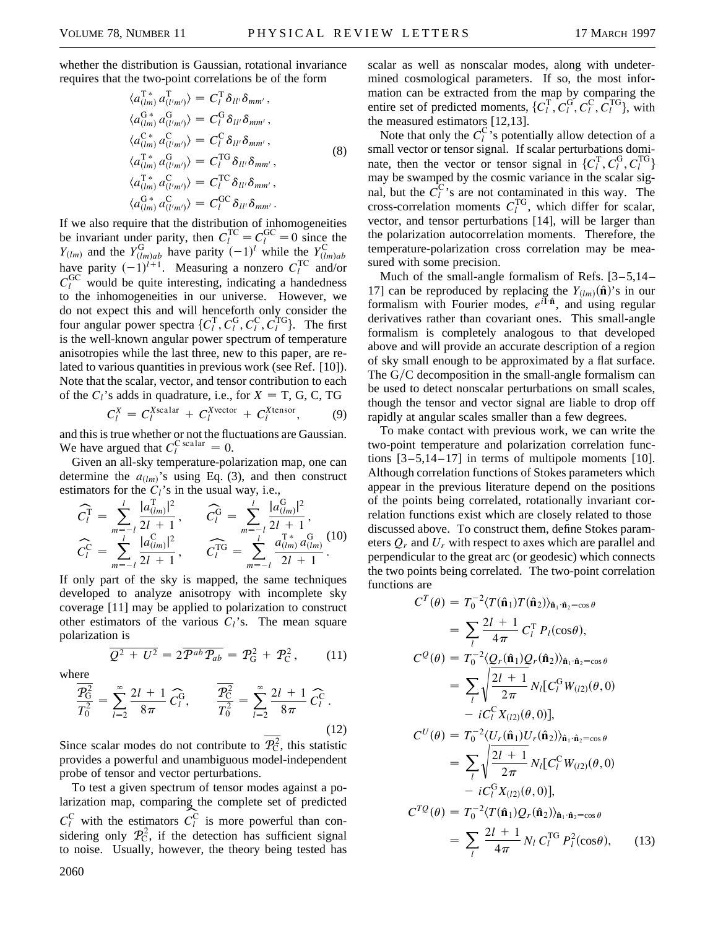whether the distribution is Gaussian, rotational invariance requires that the two-point correlations be of the form

$$
\langle a_{(lm)}^{\mathrm{T}*} a_{(l'm')}^{\mathrm{T}} \rangle = C_l^{\mathrm{T}} \delta_{ll'} \delta_{mm'},
$$
  
\n
$$
\langle a_{(lm)}^{\mathrm{G}*} a_{(l'm')}^{\mathrm{G}} \rangle = C_l^{\mathrm{G}} \delta_{ll'} \delta_{mm'},
$$
  
\n
$$
\langle a_{(lm)}^{\mathrm{C}*} a_{(l'm')}^{\mathrm{G}} \rangle = C_l^{\mathrm{C}} \delta_{ll'} \delta_{mm'},
$$
  
\n
$$
\langle a_{(lm)}^{\mathrm{T}*} a_{(l'm')}^{\mathrm{G}} \rangle = C_l^{\mathrm{TG}} \delta_{ll'} \delta_{mm'},
$$
  
\n
$$
\langle a_{(lm)}^{\mathrm{T}*} a_{(l'm')}^{\mathrm{G}} \rangle = C_l^{\mathrm{TC}} \delta_{ll'} \delta_{mm'},
$$
  
\n
$$
\langle a_{(lm)}^{\mathrm{G}*} a_{(l'm')}^{\mathrm{G}} \rangle = C_l^{\mathrm{GC}} \delta_{ll'} \delta_{mm'}.
$$
  
\n(8)

If we also require that the distribution of inhomogeneities be invariant under parity, then  $C_l^{\text{TC}} = C_l^{\text{GC}} = 0$  since the *Y*<sub>(lm)</sub> and the *Y*<sub>(lm)ab</sub> have parity  $(-1)^l$  while the *Y*<sub>(lm)ab</sub> have parity  $(-1)^{l+1}$ . Measuring a nonzero  $C_l^{\text{TC}}$  and/or  $C_l^{\text{GC}}$  would be quite interesting, indicating a handedness to the inhomogeneities in our universe. However, we do not expect this and will henceforth only consider the four angular power spectra  $\{C_l^T, C_l^G, C_l^C, C_l^{TG}\}$ . The first is the well-known angular power spectrum of temperature anisotropies while the last three, new to this paper, are related to various quantities in previous work (see Ref. [10]). Note that the scalar, vector, and tensor contribution to each of the  $C_l$ 's adds in quadrature, i.e., for  $X = T$ , G, C, TG

$$
C_l^X = C_l^{X\text{scalar}} + C_l^{X\text{vector}} + C_l^{X\text{tensor}}, \qquad (9)
$$

and this is true whether or not the fluctuations are Gaussian. We have argued that  $C_l^{\text{C scalar}} = 0$ .

Given an all-sky temperature-polarization map, one can determine the  $a_{(lm)}$ 's using Eq. (3), and then construct estimators for the  $C_l$ 's in the usual way, i.e.,

$$
\widehat{C}_l^{\mathrm{T}} = \sum_{m=-l}^l \frac{|a_{(lm)}^{\mathrm{T}}|^2}{2l+1}, \qquad \widehat{C}_l^{\mathrm{G}} = \sum_{m=-l}^l \frac{|a_{(lm)}^{\mathrm{G}}|^2}{2l+1}, \n\widehat{C}_l^{\mathrm{C}} = \sum_{m=-l}^l \frac{|a_{(lm)}^{\mathrm{C}}|^2}{2l+1}, \qquad \widehat{C}_l^{\mathrm{TG}} = \sum_{m=-l}^l \frac{a_{(lm)}^{\mathrm{T}}a_{(lm)}^{\mathrm{G}}a_{(lm)}^{\mathrm{G}}}{2l+1}.
$$
\n(10)

If only part of the sky is mapped, the same techniques developed to analyze anisotropy with incomplete sky coverage [11] may be applied to polarization to construct other estimators of the various  $C_l$ 's. The mean square polarization is

$$
\overline{Q^2 + U^2} = 2\overline{P^{ab}P_{ab}} = P_G^2 + P_C^2, \qquad (11)
$$

where

$$
\frac{\overline{P_G^2}}{T_0^2} = \sum_{l=2}^{\infty} \frac{2l+1}{8\pi} \widehat{C}_l^G, \qquad \frac{\overline{P_C^2}}{T_0^2} = \sum_{l=2}^{\infty} \frac{2l+1}{8\pi} \widehat{C}_l^C.
$$
\n(12)

Since scalar modes do not contribute to  $\mathcal{P}_C^2$ , this statistic provides a powerful and unambiguous model-independent probe of tensor and vector perturbations.

To test a given spectrum of tensor modes against a polarization map, comparing the complete set of predicted  $C_l^C$  with the estimators  $C_l^C$  is more powerful than considering only  $\mathcal{P}_{\mathcal{C}}^2$ , if the detection has sufficient signal to noise. Usually, however, the theory being tested has 2060

scalar as well as nonscalar modes, along with undetermined cosmological parameters. If so, the most information can be extracted from the map by comparing the entire set of predicted moments,  $\{C_l^T, C_l^G, C_l^C, C_l^{TG}\}$ , with the measured estimators [12,13].

Note that only the  $C_l^{\text{C}}$ 's potentially allow detection of a small vector or tensor signal. If scalar perturbations dominate, then the vector or tensor signal in  $\{C_l^T, C_l^G, C_l^{TG}\}$ may be swamped by the cosmic variance in the scalar signal, but the  $\hat{C}_l^C$ 's are not contaminated in this way. The cross-correlation moments  $C_l^{\text{TG}}$ , which differ for scalar, vector, and tensor perturbations [14], will be larger than the polarization autocorrelation moments. Therefore, the temperature-polarization cross correlation may be measured with some precision.

Much of the small-angle formalism of Refs. [3–5,14– 17] can be reproduced by replacing the  $Y_{(lm)}(\hat{\bf{n}})$ 's in our formalism with Fourier modes,  $e^{i\vec{I}\cdot\hat{n}}$ , and using regular derivatives rather than covariant ones. This small-angle formalism is completely analogous to that developed above and will provide an accurate description of a region of sky small enough to be approximated by a flat surface. The  $G/C$  decomposition in the small-angle formalism can be used to detect nonscalar perturbations on small scales, though the tensor and vector signal are liable to drop off rapidly at angular scales smaller than a few degrees.

To make contact with previous work, we can write the two-point temperature and polarization correlation functions  $[3-5, 14-17]$  in terms of multipole moments  $[10]$ . Although correlation functions of Stokes parameters which appear in the previous literature depend on the positions of the points being correlated, rotationally invariant correlation functions exist which are closely related to those discussed above. To construct them, define Stokes parameters *Qr* and *Ur* with respect to axes which are parallel and perpendicular to the great arc (or geodesic) which connects the two points being correlated. The two-point correlation functions are

$$
C^{T}(\theta) = T_{0}^{-2} \langle T(\hat{\mathbf{n}}_{1}) T(\hat{\mathbf{n}}_{2}) \rangle_{\hat{\mathbf{n}}_{1} \cdot \hat{\mathbf{n}}_{2} = \cos \theta}
$$
  
\n
$$
= \sum_{l} \frac{2l+1}{4\pi} C_{l}^{T} P_{l}(\cos \theta),
$$
  
\n
$$
C^{Q}(\theta) = T_{0}^{-2} \langle Q_{r}(\hat{\mathbf{n}}_{1}) Q_{r}(\hat{\mathbf{n}}_{2}) \rangle_{\hat{\mathbf{n}}_{1} \cdot \hat{\mathbf{n}}_{2} = \cos \theta}
$$
  
\n
$$
= \sum_{l} \sqrt{\frac{2l+1}{2\pi}} N_{l} [C_{l}^{G} W_{(l2)}(\theta, 0)
$$
  
\n
$$
- i C_{l}^{C} X_{(l2)}(\theta, 0)],
$$
  
\n
$$
C^{U}(\theta) = T_{0}^{-2} \langle U_{r}(\hat{\mathbf{n}}_{1}) U_{r}(\hat{\mathbf{n}}_{2}) \rangle_{\hat{\mathbf{n}}_{1} \cdot \hat{\mathbf{n}}_{2} = \cos \theta}
$$
  
\n
$$
= \sum_{l} \sqrt{\frac{2l+1}{2\pi}} N_{l} [C_{l}^{C} W_{(l2)}(\theta, 0)
$$
  
\n
$$
- i C_{l}^{G} X_{(l2)}(\theta, 0)],
$$
  
\n
$$
C^{TQ}(\theta) = T_{0}^{-2} \langle T(\hat{\mathbf{n}}_{1}) Q_{r}(\hat{\mathbf{n}}_{2}) \rangle_{\hat{\mathbf{n}}_{1} \cdot \hat{\mathbf{n}}_{2} = \cos \theta}
$$
  
\n
$$
= \sum_{l} \frac{2l+1}{4\pi} N_{l} C_{l}^{T G} P_{l}^{2}(\cos \theta), \qquad (13)
$$